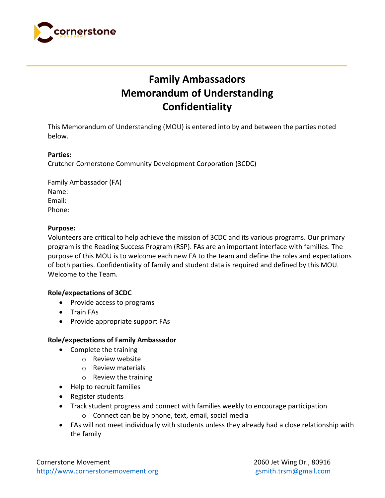

# **Family Ambassadors Memorandum of Understanding Confidentiality**

This Memorandum of Understanding (MOU) is entered into by and between the parties noted below.

## **Parties:**

Crutcher Cornerstone Community Development Corporation (3CDC)

Family Ambassador (FA) Name: Email: Phone:

## **Purpose:**

Volunteers are critical to help achieve the mission of 3CDC and its various programs. Our primary program is the Reading Success Program (RSP). FAs are an important interface with families. The purpose of this MOU is to welcome each new FA to the team and define the roles and expectations of both parties. Confidentiality of family and student data is required and defined by this MOU. Welcome to the Team.

## **Role/expectations of 3CDC**

- Provide access to programs
- Train FAs
- Provide appropriate support FAs

#### **Role/expectations of Family Ambassador**

- Complete the training
	- o Review website
	- o Review materials
	- o Review the training
- Help to recruit families
- Register students
- Track student progress and connect with families weekly to encourage participation
	- o Connect can be by phone, text, email, social media
- FAs will not meet individually with students unless they already had a close relationship with the family